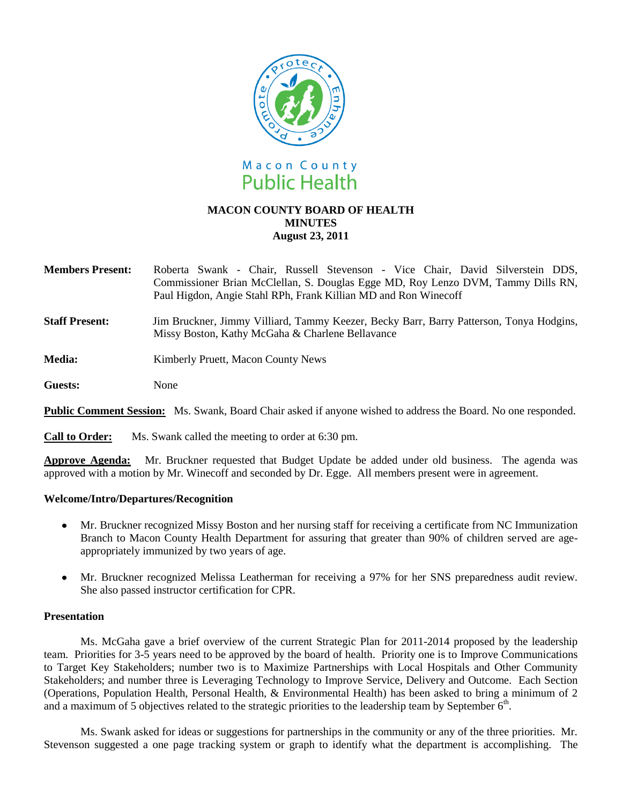

# **MACON COUNTY BOARD OF HEALTH MINUTES August 23, 2011**

**Members Present:** Roberta Swank - Chair, Russell Stevenson - Vice Chair, David Silverstein DDS, Commissioner Brian McClellan, S. Douglas Egge MD, Roy Lenzo DVM, Tammy Dills RN, Paul Higdon, Angie Stahl RPh, Frank Killian MD and Ron Winecoff

**Staff Present:** Jim Bruckner, Jimmy Villiard, Tammy Keezer, Becky Barr, Barry Patterson, Tonya Hodgins, Missy Boston, Kathy McGaha & Charlene Bellavance

**Media: Kimberly Pruett, Macon County News** 

**Guests:** None

**Public Comment Session:** Ms. Swank, Board Chair asked if anyone wished to address the Board. No one responded.

**Call to Order:** Ms. Swank called the meeting to order at 6:30 pm.

**Approve Agenda:** Mr. Bruckner requested that Budget Update be added under old business. The agenda was approved with a motion by Mr. Winecoff and seconded by Dr. Egge. All members present were in agreement.

## **Welcome/Intro/Departures/Recognition**

- Mr. Bruckner recognized Missy Boston and her nursing staff for receiving a certificate from NC Immunization  $\bullet$ Branch to Macon County Health Department for assuring that greater than 90% of children served are ageappropriately immunized by two years of age.
- Mr. Bruckner recognized Melissa Leatherman for receiving a 97% for her SNS preparedness audit review.  $\bullet$ She also passed instructor certification for CPR.

## **Presentation**

Ms. McGaha gave a brief overview of the current Strategic Plan for 2011-2014 proposed by the leadership team. Priorities for 3-5 years need to be approved by the board of health. Priority one is to Improve Communications to Target Key Stakeholders; number two is to Maximize Partnerships with Local Hospitals and Other Community Stakeholders; and number three is Leveraging Technology to Improve Service, Delivery and Outcome. Each Section (Operations, Population Health, Personal Health, & Environmental Health) has been asked to bring a minimum of 2 and a maximum of 5 objectives related to the strategic priorities to the leadership team by September  $6<sup>th</sup>$ .

Ms. Swank asked for ideas or suggestions for partnerships in the community or any of the three priorities. Mr. Stevenson suggested a one page tracking system or graph to identify what the department is accomplishing. The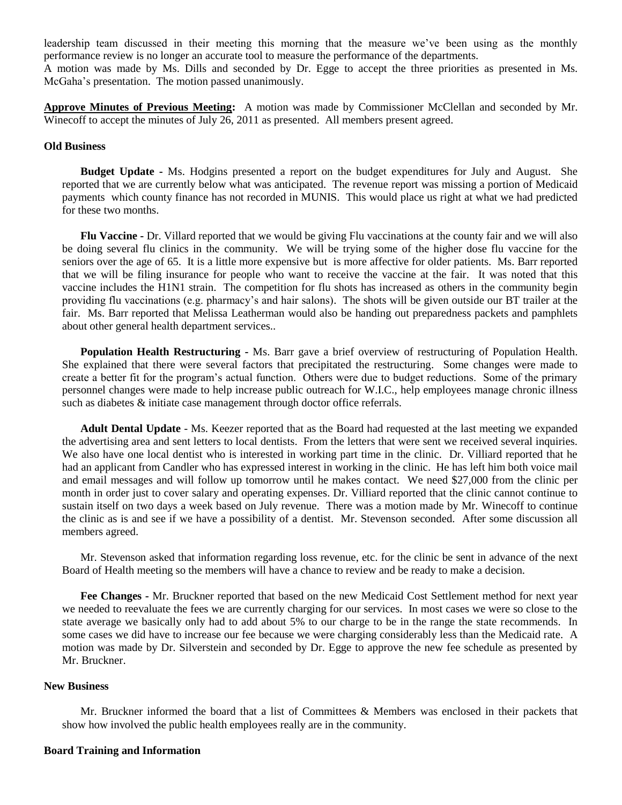leadership team discussed in their meeting this morning that the measure we've been using as the monthly performance review is no longer an accurate tool to measure the performance of the departments.

A motion was made by Ms. Dills and seconded by Dr. Egge to accept the three priorities as presented in Ms. McGaha's presentation. The motion passed unanimously.

**Approve Minutes of Previous Meeting:** A motion was made by Commissioner McClellan and seconded by Mr. Winecoff to accept the minutes of July 26, 2011 as presented. All members present agreed.

### **Old Business**

**Budget Update -** Ms. Hodgins presented a report on the budget expenditures for July and August. She reported that we are currently below what was anticipated. The revenue report was missing a portion of Medicaid payments which county finance has not recorded in MUNIS. This would place us right at what we had predicted for these two months.

**Flu Vaccine -** Dr. Villard reported that we would be giving Flu vaccinations at the county fair and we will also be doing several flu clinics in the community. We will be trying some of the higher dose flu vaccine for the seniors over the age of 65. It is a little more expensive but is more affective for older patients. Ms. Barr reported that we will be filing insurance for people who want to receive the vaccine at the fair. It was noted that this vaccine includes the H1N1 strain. The competition for flu shots has increased as others in the community begin providing flu vaccinations (e.g. pharmacy's and hair salons). The shots will be given outside our BT trailer at the fair. Ms. Barr reported that Melissa Leatherman would also be handing out preparedness packets and pamphlets about other general health department services..

**Population Health Restructuring -** Ms. Barr gave a brief overview of restructuring of Population Health. She explained that there were several factors that precipitated the restructuring. Some changes were made to create a better fit for the program's actual function. Others were due to budget reductions. Some of the primary personnel changes were made to help increase public outreach for W.I.C., help employees manage chronic illness such as diabetes & initiate case management through doctor office referrals.

**Adult Dental Update** - Ms. Keezer reported that as the Board had requested at the last meeting we expanded the advertising area and sent letters to local dentists. From the letters that were sent we received several inquiries. We also have one local dentist who is interested in working part time in the clinic. Dr. Villiard reported that he had an applicant from Candler who has expressed interest in working in the clinic. He has left him both voice mail and email messages and will follow up tomorrow until he makes contact. We need \$27,000 from the clinic per month in order just to cover salary and operating expenses. Dr. Villiard reported that the clinic cannot continue to sustain itself on two days a week based on July revenue. There was a motion made by Mr. Winecoff to continue the clinic as is and see if we have a possibility of a dentist. Mr. Stevenson seconded. After some discussion all members agreed.

Mr. Stevenson asked that information regarding loss revenue, etc. for the clinic be sent in advance of the next Board of Health meeting so the members will have a chance to review and be ready to make a decision.

**Fee Changes -** Mr. Bruckner reported that based on the new Medicaid Cost Settlement method for next year we needed to reevaluate the fees we are currently charging for our services. In most cases we were so close to the state average we basically only had to add about 5% to our charge to be in the range the state recommends. In some cases we did have to increase our fee because we were charging considerably less than the Medicaid rate. A motion was made by Dr. Silverstein and seconded by Dr. Egge to approve the new fee schedule as presented by Mr. Bruckner.

#### **New Business**

Mr. Bruckner informed the board that a list of Committees & Members was enclosed in their packets that show how involved the public health employees really are in the community.

#### **Board Training and Information**